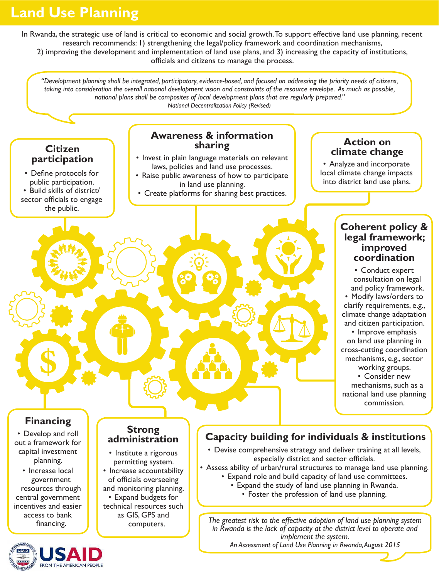# **Land Use Planning**

In Rwanda, the strategic use of land is critical to economic and social growth. To support effective land use planning, recent research recommends: 1) strengthening the legal/policy framework and coordination mechanisms, 2) improving the development and implementation of land use plans, and 3) increasing the capacity of institutions, officials and citizens to manage the process.

*"Development planning shall be integrated, participatory, evidence-based, and focused on addressing the priority needs of citizens, taking into consideration the overall national development vision and constraints of the resource envelope. As much as possible, national plans shall be composites of local development plans that are regularly prepared." National Decentralization Policy (Revised)*

# **Citizen**<br>**participation**

• Define protocols for public participation. • Build skills of district/ sector officials to engage the public.

#### **Awareness & information sharing**

- **Invest in plain language materials on relevant** laws, policies and land use processes.
- Raise public awareness of how to participate in land use planning.
- Create platforms for sharing best practices.

<sup>x</sup> G

89 89

#### **Action on climate change**

• Analyze and incorporate local climate change impacts into district land use plans.

#### **Coherent policy & legal framework; improved coordination**

• Conduct expert • consultation on legal and policy framework. • Modify laws/orders to clarify requirements, e.g., climate change adaptation and citizen participation.

• Improve emphasis on land use planning in cross-cutting coordination mechanisms, e.g., sector working groups.

• Consider new

• mechanisms, such as a national land use planning commission.

## **Financing**

- Develop and roll out a framework for capital investment planning.
- Increase local • government resources through central government incentives and easier access to bank financing.



#### **Strong administration**

**\$** i <sup>U</sup>

• Institute a rigorous permitting system. • Increase accountability of officials overseeing and monitoring planning. • Expand budgets for technical resources such as GIS, GPS and computers.

### **Capacity building for individuals & institutions**

58

- Devise comprehensive strategy and deliver training at all levels, especially district and sector officials.
- Assess ability of urban/rural structures to manage land use planning. • Expand role and build capacity of land use committees.
	- Expand the study of land use planning in Rwanda.
		- Foster the profession of land use planning.

*The greatest risk to the effective adoption of land use planning system in Rwanda is the lack of capacity at the district level to operate and implement the system.*

*An Assessment of Land Use Planning in Rwanda, August 2015*